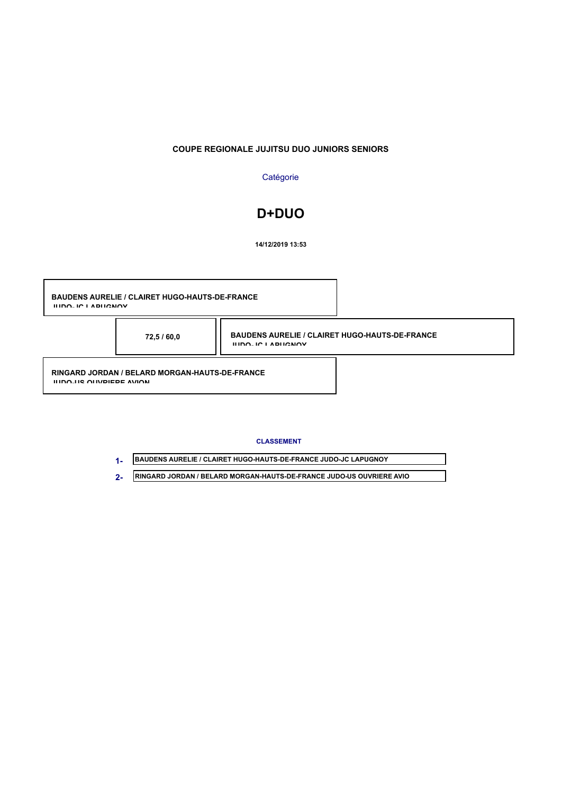### **COUPE REGIONALE JUJITSU DUO JUNIORS SENIORS**

### **Catégorie**

# **D+DUO**

**14/12/2019 13:53**

**BAUDENS AURELIE / CLAIRET HUGO-HAUTS-DE-FRANCE JUDO-JC LAPUGNOY RINGARD JORDAN / BELARD MORGAN-HAUTS-DE-FRANCE JUDO-US OUVRIERE AVION BAUDENS AURELIE / CLAIRET HUGO-HAUTS-DE-FRANCE JUDO-JC LAPUGNOY 72,5 / 60,0**

#### **CLASSEMENT**

**BAUDENS AURELIE / CLAIRET HUGO-HAUTS-DE-FRANCE JUDO-JC LAPUGNOY 1- RINGARD JORDAN / BELARD MORGAN-HAUTS-DE-FRANCE JUDO-US OUVRIERE AVIO 2-**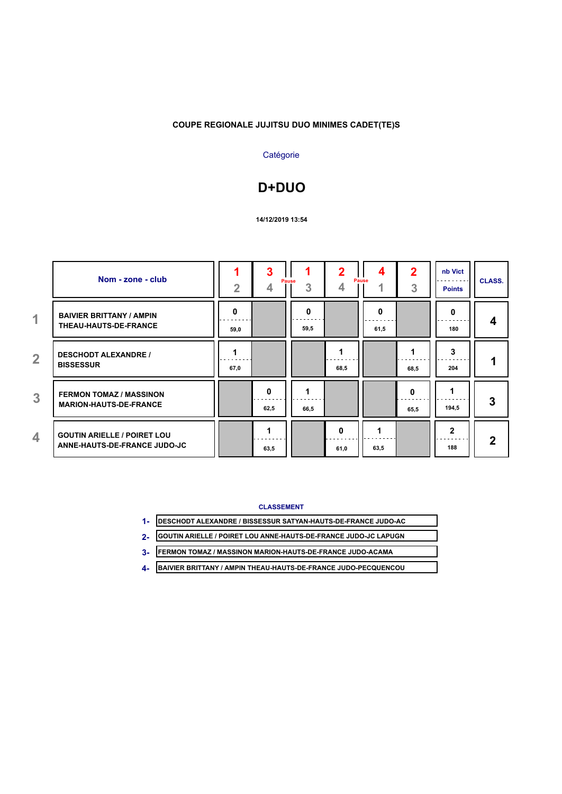## **COUPE REGIONALE JUJITSU DUO MINIMES CADET(TE)S**

## **Catégorie**

# **D+DUO**

### **14/12/2019 13:54**

|                | Nom - zone - club                                                  | $\overline{2}$ | 3         | Pause<br>3 | 4         | Pause<br>4 | 2<br>3    | nb Vict<br><b>Points</b> | <b>CLASS.</b> |
|----------------|--------------------------------------------------------------------|----------------|-----------|------------|-----------|------------|-----------|--------------------------|---------------|
| $\overline{1}$ | <b>BAIVIER BRITTANY / AMPIN</b><br>THEAU-HAUTS-DE-FRANCE           | 0<br>59,0      |           | 0<br>59,5  |           | 0<br>61,5  |           | 0<br>180                 | 4             |
| $\overline{2}$ | <b>DESCHODT ALEXANDRE /</b><br><b>BISSESSUR</b>                    | 67,0           |           |            | 68,5      |            | 68,5      | 3<br>204                 |               |
| 3              | <b>FERMON TOMAZ / MASSINON</b><br><b>MARION-HAUTS-DE-FRANCE</b>    |                | 0<br>62,5 | 66.5       |           |            | 0<br>65,5 | 194,5                    | 3             |
| 4              | <b>GOUTIN ARIELLE / POIRET LOU</b><br>ANNE-HAUTS-DE-FRANCE JUDO-JC |                | 63,5      |            | 0<br>61,0 | 63,5       |           | $\mathbf{2}$<br>188      | $\mathbf 2$   |

### **CLASSEMENT**

| <b>DESCHODT ALEXANDRE / BISSESSUR SATYAN-HAUTS-DE-FRANCE JUDO-AC</b> |  |
|----------------------------------------------------------------------|--|
| GOUTIN ARIELLE / POIRET LOU ANNE-HAUTS-DE-FRANCE JUDO-JC LAPUGN      |  |
| FERMON TOMAZ / MASSINON MARION-HAUTS-DE-FRANCE JUDO-ACAMA            |  |
| BAIVIER BRITTANY / AMPIN THEAU-HAUTS-DE-FRANCE JUDO-PECQUENCOU       |  |